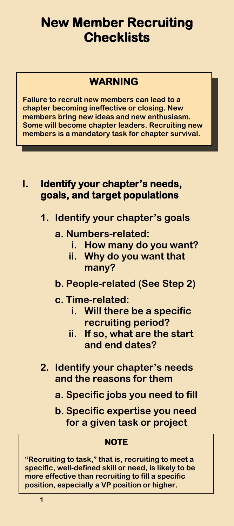# **New Member Recruiting Checklists**

## **WARNING**

**Failure to recruit new members can lead to a chapter becoming ineffective or closing. New members bring new ideas and new enthusiasm. Some will become chapter leaders. Recruiting new members is a mandatory task for chapter survival.**

#### **I. Identify your chapter's needs, goals, and target populations**

- **1. Identify your chapter's goals**
	- **a. Numbers-related:** 
		- **i. How many do you want?**
		- **ii. Why do you want that many?**
	- **b. People-related (See Step 2)**
	- **c. Time-related:** 
		- **i. Will there be a specific recruiting period?**
		- **ii. If so, what are the start and end dates?**
- **2. Identify your chapter's needs and the reasons for them**
	- **a. Specific jobs you need to fill**
	- **b. Specific expertise you need for a given task or project**

#### **NOTE**

**"Recruiting to task," that is, recruiting to meet a specific, well-defined skill or need, is likely to be more effective than recruiting to fill a specific position, especially a VP position or higher.**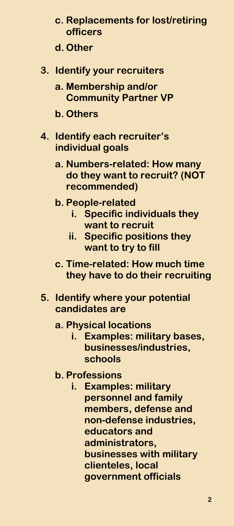- **c. Replacements for lost/retiring officers**
- **d. Other**
- **3. Identify your recruiters**
	- **a. Membership and/or Community Partner VP**
	- **b. Others**
- **4. Identify each recruiter's individual goals**
	- **a. Numbers-related: How many do they want to recruit? (NOT recommended)**
	- **b. People-related**
		- **i. Specific individuals they want to recruit**
		- **ii. Specific positions they want to try to fill**
	- **c. Time-related: How much time they have to do their recruiting**
- **5. Identify where your potential candidates are**
	- **a. Physical locations**
		- **i. Examples: military bases, businesses/industries, schools**
	- **b. Professions**
		- **i. Examples: military personnel and family members, defense and non-defense industries, educators and administrators, businesses with military clienteles, local government officials**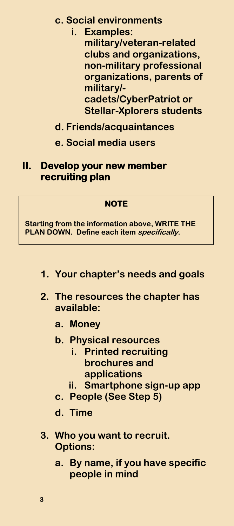**c. Social environments**

**i. Examples:** 

**military/veteran-related clubs and organizations, non-military professional organizations, parents of military/ cadets/CyberPatriot or Stellar-Xplorers students**

**d. Friends/acquaintances**

**e. Social media users**

#### **II. Develop your new member recruiting plan**

### **NOTE**

**Starting from the information above, WRITE THE PLAN DOWN. Define each item specifically.**

- **1. Your chapter's needs and goals**
- **2. The resources the chapter has available:**
	- **a. Money**
	- **b. Physical resources**
		- **i. Printed recruiting brochures and applications**
		- **ii. Smartphone sign-up app**
	- **c. People (See Step 5)**
	- **d. Time**
- **3. Who you want to recruit. Options:**
	- **a. By name, if you have specific people in mind**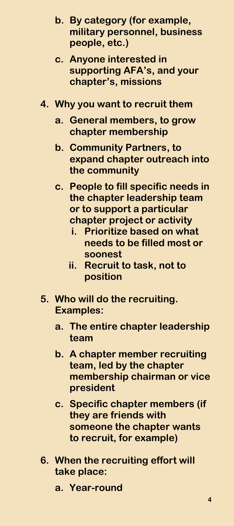- **b. By category (for example, military personnel, business people, etc.)**
- **c. Anyone interested in supporting AFA's, and your chapter's, missions**
- **4. Why you want to recruit them**
	- **a. General members, to grow chapter membership**
	- **b. Community Partners, to expand chapter outreach into the community**
	- **c. People to fill specific needs in the chapter leadership team or to support a particular chapter project or activity**
		- **i. Prioritize based on what needs to be filled most or soonest**
		- **ii. Recruit to task, not to position**
- **5. Who will do the recruiting. Examples:**
	- **a. The entire chapter leadership team**
	- **b. A chapter member recruiting team, led by the chapter membership chairman or vice president**
	- **c. Specific chapter members (if they are friends with someone the chapter wants to recruit, for example)**
- **6. When the recruiting effort will take place:**
	- **a. Year-round**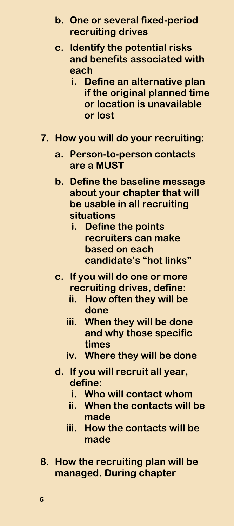- **b. One or several fixed-period recruiting drives**
- **c. Identify the potential risks and benefits associated with each**
	- **i. Define an alternative plan if the original planned time or location is unavailable or lost**
- **7. How you will do your recruiting:**
	- **a. Person-to-person contacts are a MUST**
	- **b. Define the baseline message about your chapter that will be usable in all recruiting situations**
		- **i. Define the points recruiters can make based on each candidate's "hot links"**
	- **c. If you will do one or more recruiting drives, define:**
		- **ii. How often they will be done**
		- **iii. When they will be done and why those specific times**
		- **iv. Where they will be done**
	- **d. If you will recruit all year, define:**
		- **i. Who will contact whom**
		- **ii. When the contacts will be made**
		- **iii. How the contacts will be made**
- **8. How the recruiting plan will be managed. During chapter**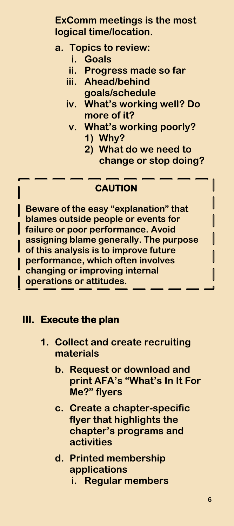**ExComm meetings is the most logical time/location.**

#### **a. Topics to review:**

- **i. Goals**
- **ii. Progress made so far**
- **iii. Ahead/behind goals/schedule**
- **iv. What's working well? Do more of it?**
	- **v. What's working poorly? 1) Why?**
		- **2) What do we need to change or stop doing?**

#### **CAUTION**

**Beware of the easy "explanation" that blames outside people or events for failure or poor performance. Avoid assigning blame generally. The purpose of this analysis is to improve future performance, which often involves changing or improving internal operations or attitudes.**

#### **III. Execute the plan**

- **1. Collect and create recruiting materials**
	- **b. Request or download and print AFA's "What's In It For Me?" flyers**
	- **c. Create a chapter-specific flyer that highlights the chapter's programs and activities**
	- **d. Printed membership applications i. Regular members**

┃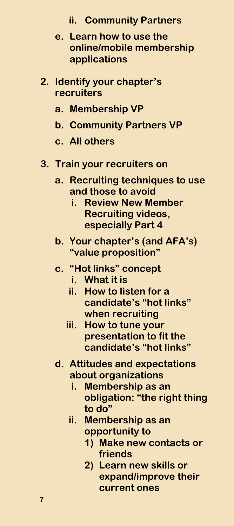- **ii. Community Partners**
- **e. Learn how to use the online/mobile membership applications**
- **2. Identify your chapter's recruiters**
	- **a. Membership VP**
	- **b. Community Partners VP**
	- **c. All others**
- **3. Train your recruiters on**
	- **a. Recruiting techniques to use and those to avoid**
		- **i. Review New Member Recruiting videos, especially Part 4**
	- **b. Your chapter's (and AFA's) "value proposition"**
	- **c. "Hot links" concept**
		- **i. What it is**
		- **ii. How to listen for a candidate's "hot links" when recruiting**
		- **iii. How to tune your presentation to fit the candidate's "hot links"**
	- **d. Attitudes and expectations about organizations**
		- **i. Membership as an obligation: "the right thing to do"**
		- **ii. Membership as an opportunity to**
			- **1) Make new contacts or friends**
			- **2) Learn new skills or expand/improve their current ones**